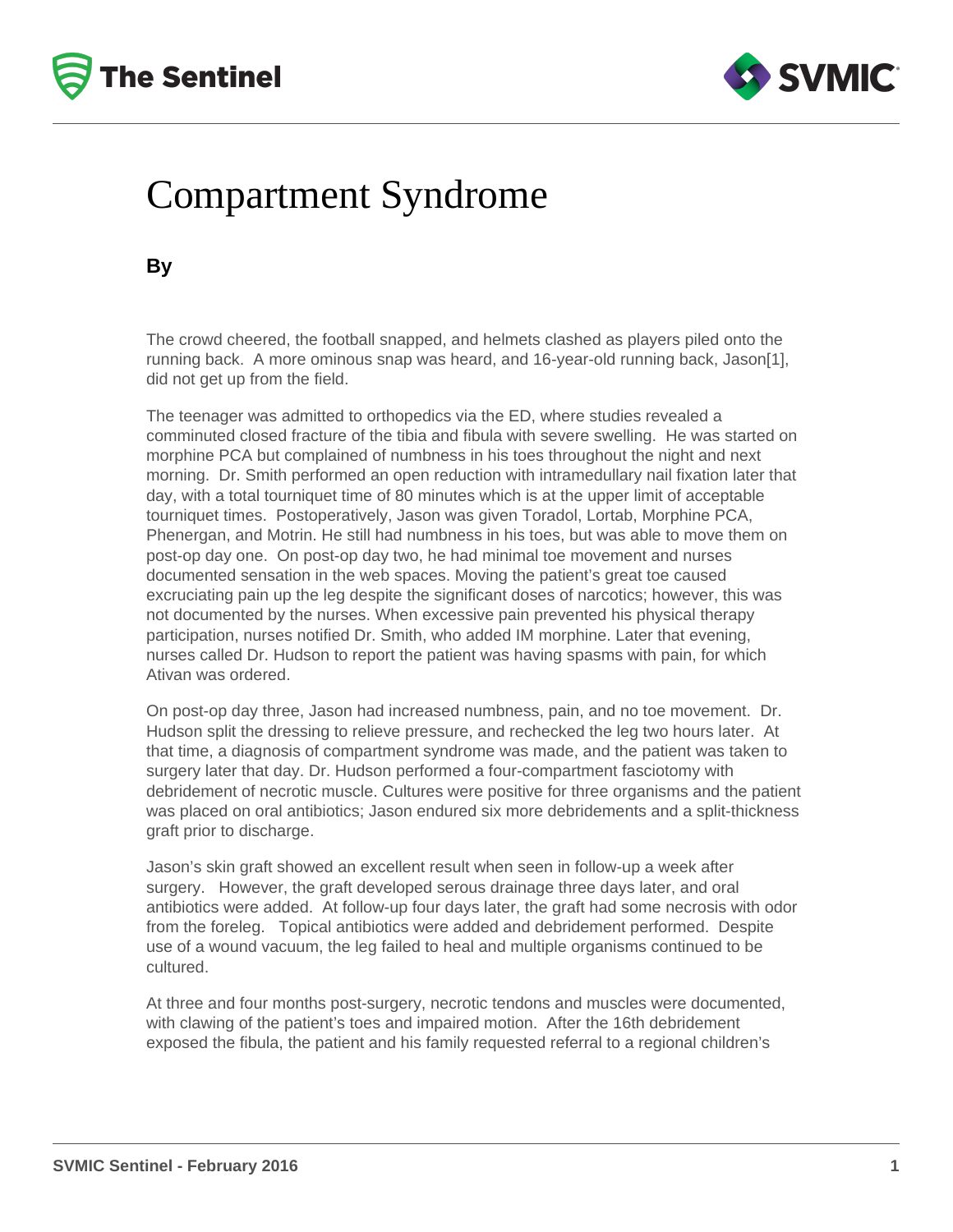



## Compartment Syndrome

**By**

The crowd cheered, the football snapped, and helmets clashed as players piled onto the running back. A more ominous snap was heard, and 16-year-old running back, Jason[1], did not get up from the field.

The teenager was admitted to orthopedics via the ED, where studies revealed a comminuted closed fracture of the tibia and fibula with severe swelling. He was started on morphine PCA but complained of numbness in his toes throughout the night and next morning. Dr. Smith performed an open reduction with intramedullary nail fixation later that day, with a total tourniquet time of 80 minutes which is at the upper limit of acceptable tourniquet times. Postoperatively, Jason was given Toradol, Lortab, Morphine PCA, Phenergan, and Motrin. He still had numbness in his toes, but was able to move them on post-op day one. On post-op day two, he had minimal toe movement and nurses documented sensation in the web spaces. Moving the patient's great toe caused excruciating pain up the leg despite the significant doses of narcotics; however, this was not documented by the nurses. When excessive pain prevented his physical therapy participation, nurses notified Dr. Smith, who added IM morphine. Later that evening, nurses called Dr. Hudson to report the patient was having spasms with pain, for which Ativan was ordered.

On post-op day three, Jason had increased numbness, pain, and no toe movement. Dr. Hudson split the dressing to relieve pressure, and rechecked the leg two hours later. At that time, a diagnosis of compartment syndrome was made, and the patient was taken to surgery later that day. Dr. Hudson performed a four-compartment fasciotomy with debridement of necrotic muscle. Cultures were positive for three organisms and the patient was placed on oral antibiotics; Jason endured six more debridements and a split-thickness graft prior to discharge.

Jason's skin graft showed an excellent result when seen in follow-up a week after surgery. However, the graft developed serous drainage three days later, and oral antibiotics were added. At follow-up four days later, the graft had some necrosis with odor from the foreleg. Topical antibiotics were added and debridement performed. Despite use of a wound vacuum, the leg failed to heal and multiple organisms continued to be cultured.

At three and four months post-surgery, necrotic tendons and muscles were documented, with clawing of the patient's toes and impaired motion. After the 16th debridement exposed the fibula, the patient and his family requested referral to a regional children's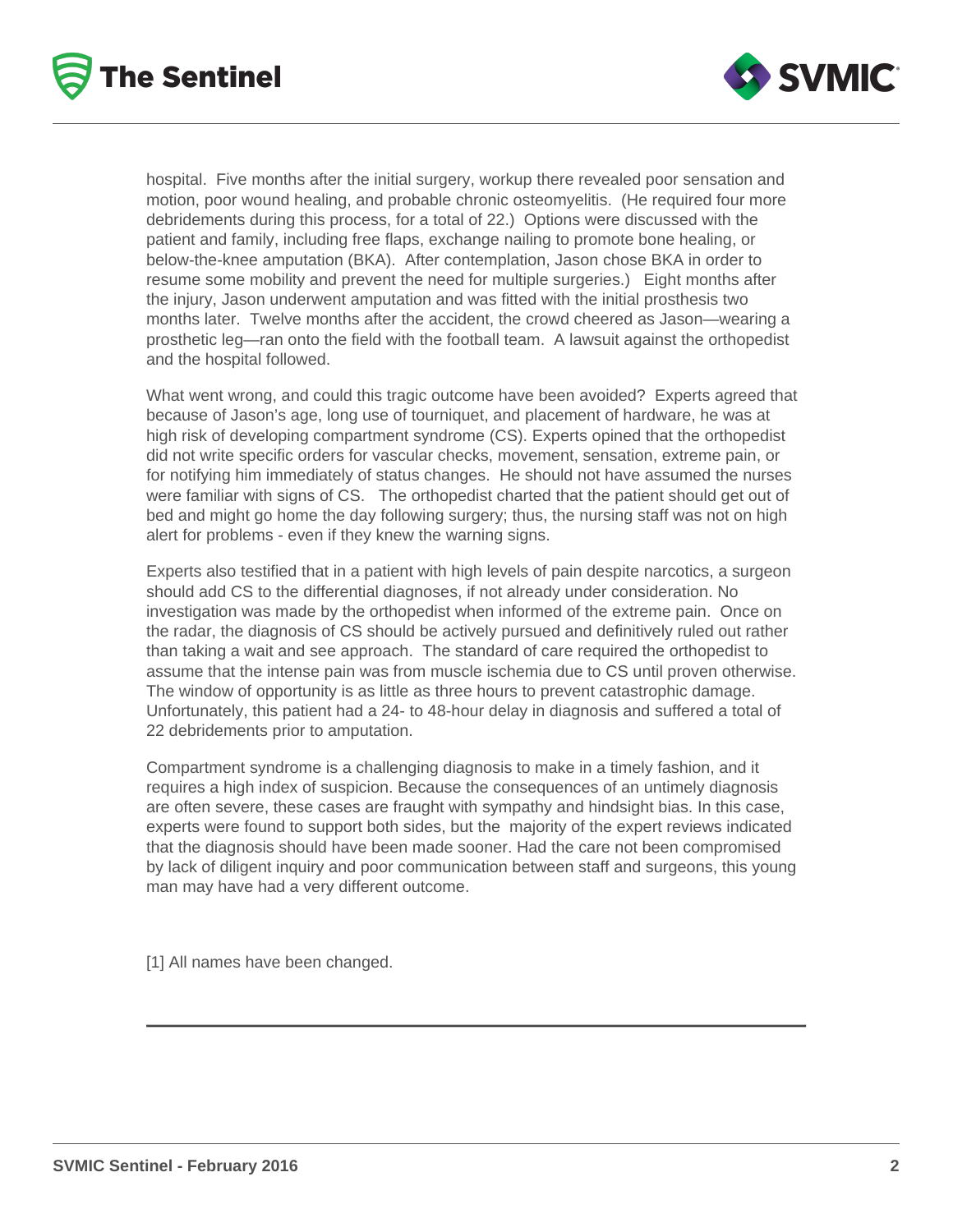



hospital. Five months after the initial surgery, workup there revealed poor sensation and motion, poor wound healing, and probable chronic osteomyelitis. (He required four more debridements during this process, for a total of 22.) Options were discussed with the patient and family, including free flaps, exchange nailing to promote bone healing, or below-the-knee amputation (BKA). After contemplation, Jason chose BKA in order to resume some mobility and prevent the need for multiple surgeries.) Eight months after the injury, Jason underwent amputation and was fitted with the initial prosthesis two months later. Twelve months after the accident, the crowd cheered as Jason—wearing a prosthetic leg—ran onto the field with the football team. A lawsuit against the orthopedist and the hospital followed.

What went wrong, and could this tragic outcome have been avoided? Experts agreed that because of Jason's age, long use of tourniquet, and placement of hardware, he was at high risk of developing compartment syndrome (CS). Experts opined that the orthopedist did not write specific orders for vascular checks, movement, sensation, extreme pain, or for notifying him immediately of status changes. He should not have assumed the nurses were familiar with signs of CS. The orthopedist charted that the patient should get out of bed and might go home the day following surgery; thus, the nursing staff was not on high alert for problems - even if they knew the warning signs.

Experts also testified that in a patient with high levels of pain despite narcotics, a surgeon should add CS to the differential diagnoses, if not already under consideration. No investigation was made by the orthopedist when informed of the extreme pain. Once on the radar, the diagnosis of CS should be actively pursued and definitively ruled out rather than taking a wait and see approach. The standard of care required the orthopedist to assume that the intense pain was from muscle ischemia due to CS until proven otherwise. The window of opportunity is as little as three hours to prevent catastrophic damage. Unfortunately, this patient had a 24- to 48-hour delay in diagnosis and suffered a total of 22 debridements prior to amputation.

Compartment syndrome is a challenging diagnosis to make in a timely fashion, and it requires a high index of suspicion. Because the consequences of an untimely diagnosis are often severe, these cases are fraught with sympathy and hindsight bias. In this case, experts were found to support both sides, but the majority of the expert reviews indicated that the diagnosis should have been made sooner. Had the care not been compromised by lack of diligent inquiry and poor communication between staff and surgeons, this young man may have had a very different outcome.

[1] All names have been changed.